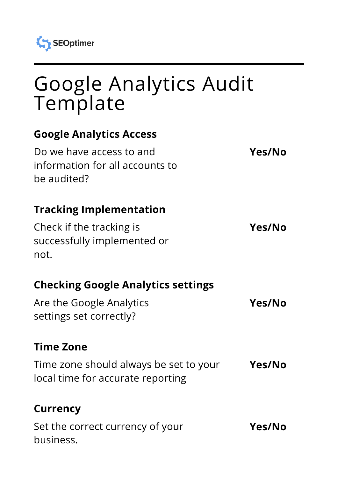

# Google Analytics Audit **Template**

## **Google Analytics Access**

Do we have access to and information for all accounts to be audited?

## **Tracking Implementation**

Check if the tracking is successfully implemented or not.

## **Checking Google Analytics settings**

Are the Google Analytics settings set correctly?

#### **Time Zone**

Time zone should always be set to your local time for accurate reporting **Yes/No**

## **Currency**

Set the correct currency of your business. **Yes/No**

**Yes/No**

**Yes/No**

**Yes/No**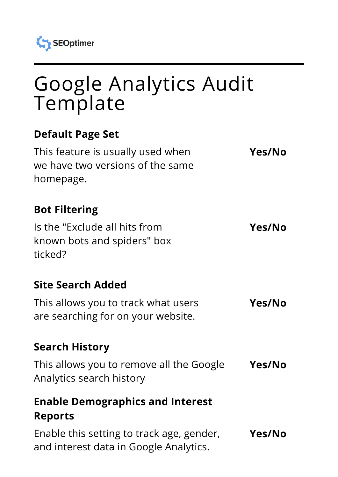

# Google Analytics Audit Template

#### **Default Page Set**

This feature is usually used when we have two versions of the same homepage. **Yes/No**

#### **Bot Filtering**

Is the "Exclude all hits from known bots and spiders" box ticked?

## **Site Search Added**

This allows you to track what users are searching for on your website. **Yes/No**

**Yes/No**

## **Search History**

This allows you to remove all the Google Analytics search history **Yes/No**

# **Enable Demographics and Interest Reports**

Enable this setting to track age, gender, and interest data in Google Analytics. **Yes/No**